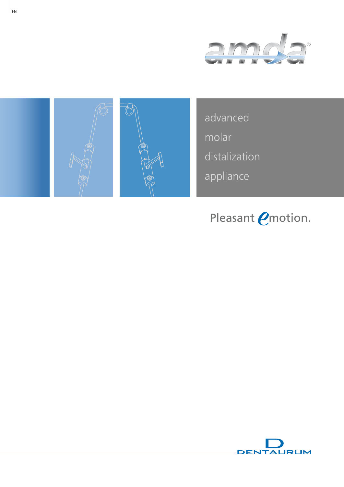





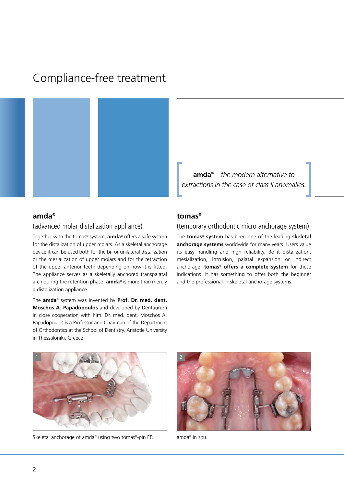# Compliance-free treatment



**amda®** *– the modern alternative to extractions in the case of class II anomalies.* 

#### **amda®**

### (advanced molar distalization appliance)

Together with the tomas® system, **amda®** offers a safe system for the distalization of upper molars. As a skeletal anchorage device it can be used both for the bi- or unilateral distalization or the mesialization of upper molars and for the retraction of the upper anterior teeth depending on how it is fitted. The appliance serves as a skeletally anchored transpalatal arch during the retention phase. **amda®** is more than merely a distalization appliance.

The **amda®** system was invented by **Prof. Dr. med. dent. Moschos A. Papadopoulos** and developed by Dentaurum in close cooperation with him. Dr. med. dent. Moschos A. Papadopoulos is a Professor and Chairman of the Department of Orthodontics at the School of Dentistry, Aristotle University in Thessaloniki, Greece.

#### **tomas®**

## (temporary orthodontic micro anchorage system)

The **tomas® system** has been one of the leading **skeletal anchorage systems** worldwide for many years. Users value its easy handling and high reliability. Be it distalization, mesialization, intrusion, palatal expansion or indirect anchorage: **tomas® offers a complete system** for these indications. It has something to offer both the beginner and the professional in skeletal anchorage systems.



Skeletal anchorage of amda® using two tomas®-pin EP. amda® in situ.

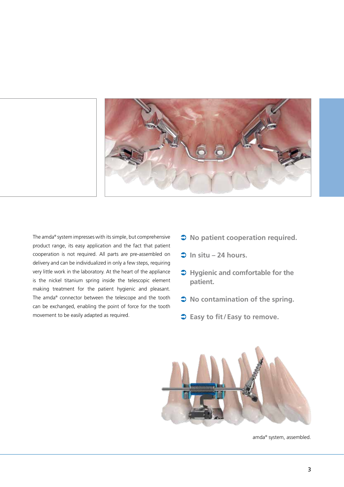

The amda® system impresses with its simple, but comprehensive product range, its easy application and the fact that patient cooperation is not required. All parts are pre-assembled on delivery and can be individualized in only a few steps, requiring very little work in the laboratory. At the heart of the appliance is the nickel titanium spring inside the telescopic element making treatment for the patient hygienic and pleasant. The amda® connector between the telescope and the tooth can be exchanged, enabling the point of force for the tooth movement to be easily adapted as required.

- $\supset$  No patient cooperation required.
- $\Rightarrow$  In situ 24 hours.
- $\supset$  **Hygienic and comfortable for the patient.**
- $\bullet$  No contamination of the spring.
- **◯ Easy to fit/Easy to remove.**



amda® system, assembled.